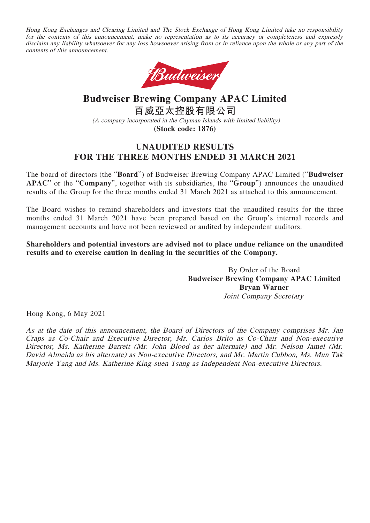Hong Kong Exchanges and Clearing Limited and The Stock Exchange of Hong Kong Limited take no responsibility for the contents of this announcement, make no representation as to its accuracy or completeness and expressly disclaim any liability whatsoever for any loss howsoever arising from or in reliance upon the whole or any part of the contents of this announcement.



# **Budweiser Brewing Company APAC Limited 百威亞太控股有限公司** (A company incorporated in the Cayman Islands with limited liability) **(Stock code: 1876)**

# **UNAUDITED RESULTS FOR THE THREE MONTHS ENDED 31 MARCH 2021**

The board of directors (the "**Board**") of Budweiser Brewing Company APAC Limited ("**Budweiser APAC**" or the "**Company**", together with its subsidiaries, the "**Group**") announces the unaudited results of the Group for the three months ended 31 March 2021 as attached to this announcement.

The Board wishes to remind shareholders and investors that the unaudited results for the three months ended 31 March 2021 have been prepared based on the Group's internal records and management accounts and have not been reviewed or audited by independent auditors.

**Shareholders and potential investors are advised not to place undue reliance on the unaudited results and to exercise caution in dealing in the securities of the Company.**

> By Order of the Board **Budweiser Brewing Company APAC Limited Bryan Warner** Joint Company Secretary

Hong Kong, 6 May 2021

As at the date of this announcement, the Board of Directors of the Company comprises Mr. Jan Craps as Co-Chair and Executive Director, Mr. Carlos Brito as Co-Chair and Non-executive Director, Ms. Katherine Barrett (Mr. John Blood as her alternate) and Mr. Nelson Jamel (Mr. David Almeida as his alternate) as Non-executive Directors, and Mr. Martin Cubbon, Ms. Mun Tak Marjorie Yang and Ms. Katherine King-suen Tsang as Independent Non-executive Directors.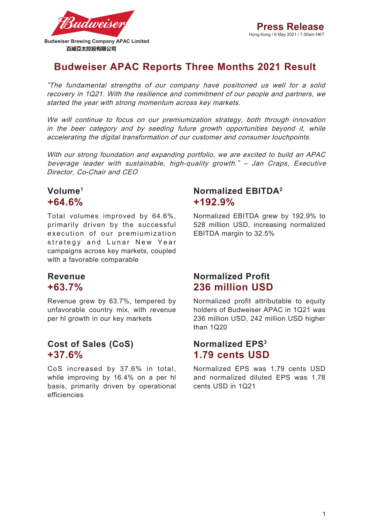

# **Budweiser APAC Reports Three Months 2021 Result**

"The fundamental strengths of our company have positioned us well for a solid recovery in 1Q21. With the resilience and commitment of our people and partners, we started the year with strong momentum across key markets.

We will continue to focus on our premiumization strategy, both through innovation in the beer category and by seeding future growth opportunities beyond it, while accelerating the digital transformation of our customer and consumer touchpoints.

With our strong foundation and expanding portfolio, we are excited to build an APAC beverage leader with sustainable, high-quality growth." – Jan Craps, Executive Director, Co-Chair and CEO

# **Volume1 +64.6%**

Total volumes improved by 64.6%, primarily driven by the successful execution of our premiumization strategy and Lunar New Year campaigns across key markets, coupled with a favorable comparable

# **Revenue +63.7%**

Revenue grew by 63.7%, tempered by unfavorable country mix, with revenue per hl growth in our key markets

# **Cost of Sales (CoS) +37.6%**

CoS increased by 37.6% in total, while improving by 16.4% on a per hl basis, primarily driven by operational efficiencies

# **Normalized EBITDA2 +192.9%**

Normalized EBITDA grew by 192.9% to 528 million USD, increasing normalized EBITDA margin to 32.5%

# **Normalized Profit 236 million USD**

Normalized profit attributable to equity holders of Budweiser APAC in 1Q21 was 236 million USD, 242 million USD higher than 1Q20

# **Normalized EPS3 1.79 cents USD**

Normalized EPS was 1.79 cents USD and normalized diluted EPS was 1.78 cents USD in 1Q21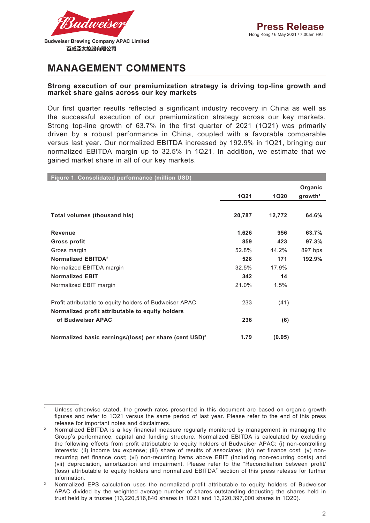

# **MANAGEMENT COMMENTS**

### **Strong execution of our premiumization strategy is driving top-line growth and market share gains across our key markets**

Our first quarter results reflected a significant industry recovery in China as well as the successful execution of our premiumization strategy across our key markets. Strong top-line growth of 63.7% in the first quarter of 2021 (1Q21) was primarily driven by a robust performance in China, coupled with a favorable comparable versus last year. Our normalized EBITDA increased by 192.9% in 1Q21, bringing our normalized EBITDA margin up to 32.5% in 1Q21. In addition, we estimate that we gained market share in all of our key markets.

| Figure 1. Consolidated performance (million USD)                   |             |             |                     |
|--------------------------------------------------------------------|-------------|-------------|---------------------|
|                                                                    |             |             | Organic             |
|                                                                    | <b>1Q21</b> | <b>1Q20</b> | growth <sup>1</sup> |
|                                                                    |             |             |                     |
| <b>Total volumes (thousand his)</b>                                | 20,787      | 12,772      | 64.6%               |
| <b>Revenue</b>                                                     | 1,626       | 956         | 63.7%               |
| Gross profit                                                       | 859         | 423         | 97.3%               |
| Gross margin                                                       | 52.8%       | 44.2%       | 897 bps             |
| Normalized EBITDA <sup>2</sup>                                     | 528         | 171         | 192.9%              |
| Normalized EBITDA margin                                           | 32.5%       | 17.9%       |                     |
| <b>Normalized EBIT</b>                                             | 342         | 14          |                     |
| Normalized EBIT margin                                             | 21.0%       | 1.5%        |                     |
| Profit attributable to equity holders of Budweiser APAC            | 233         | (41)        |                     |
| Normalized profit attributable to equity holders                   |             |             |                     |
| of Budweiser APAC                                                  | 236         | (6)         |                     |
| Normalized basic earnings/(loss) per share (cent USD) <sup>3</sup> | 1.79        | (0.05)      |                     |

Unless otherwise stated, the growth rates presented in this document are based on organic growth figures and refer to 1Q21 versus the same period of last year. Please refer to the end of this press release for important notes and disclaimers.

<sup>2</sup> Normalized EBITDA is a key financial measure regularly monitored by management in managing the Group's performance, capital and funding structure. Normalized EBITDA is calculated by excluding the following effects from profit attributable to equity holders of Budweiser APAC: (i) non-controlling interests; (ii) income tax expense; (iii) share of results of associates; (iv) net finance cost; (v) nonrecurring net finance cost; (vi) non-recurring items above EBIT (including non-recurring costs) and (vii) depreciation, amortization and impairment. Please refer to the "Reconciliation between profit/ (loss) attributable to equity holders and normalized EBITDA" section of this press release for further information.

<sup>3</sup> Normalized EPS calculation uses the normalized profit attributable to equity holders of Budweiser APAC divided by the weighted average number of shares outstanding deducting the shares held in trust held by a trustee (13,220,516,840 shares in 1Q21 and 13,220,397,000 shares in 1Q20).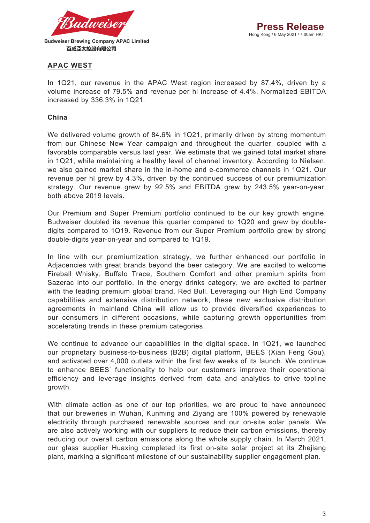

# **APAC WEST**

In 1Q21, our revenue in the APAC West region increased by 87.4%, driven by a volume increase of 79.5% and revenue per hl increase of 4.4%. Normalized EBITDA increased by 336.3% in 1Q21.

## **China**

We delivered volume growth of 84.6% in 1Q21, primarily driven by strong momentum from our Chinese New Year campaign and throughout the quarter, coupled with a favorable comparable versus last year. We estimate that we gained total market share in 1Q21, while maintaining a healthy level of channel inventory. According to Nielsen, we also gained market share in the in-home and e-commerce channels in 1Q21. Our revenue per hl grew by 4.3%, driven by the continued success of our premiumization strategy. Our revenue grew by 92.5% and EBITDA grew by 243.5% year-on-year, both above 2019 levels.

Our Premium and Super Premium portfolio continued to be our key growth engine. Budweiser doubled its revenue this quarter compared to 1Q20 and grew by doubledigits compared to 1Q19. Revenue from our Super Premium portfolio grew by strong double-digits year-on-year and compared to 1Q19.

In line with our premiumization strategy, we further enhanced our portfolio in Adjacencies with great brands beyond the beer category. We are excited to welcome Fireball Whisky, Buffalo Trace, Southern Comfort and other premium spirits from Sazerac into our portfolio. In the energy drinks category, we are excited to partner with the leading premium global brand, Red Bull. Leveraging our High End Company capabilities and extensive distribution network, these new exclusive distribution agreements in mainland China will allow us to provide diversified experiences to our consumers in different occasions, while capturing growth opportunities from accelerating trends in these premium categories.

We continue to advance our capabilities in the digital space. In 1Q21, we launched our proprietary business-to-business (B2B) digital platform, BEES (Xian Feng Gou), and activated over 4,000 outlets within the first few weeks of its launch. We continue to enhance BEES' functionality to help our customers improve their operational efficiency and leverage insights derived from data and analytics to drive topline growth.

With climate action as one of our top priorities, we are proud to have announced that our breweries in Wuhan, Kunming and Ziyang are 100% powered by renewable electricity through purchased renewable sources and our on-site solar panels. We are also actively working with our suppliers to reduce their carbon emissions, thereby reducing our overall carbon emissions along the whole supply chain. In March 2021, our glass supplier Huaxing completed its first on-site solar project at its Zhejiang plant, marking a significant milestone of our sustainability supplier engagement plan.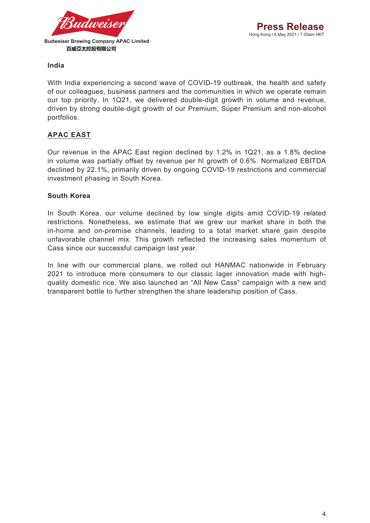

## **India**

With India experiencing a second wave of COVID-19 outbreak, the health and safety of our colleagues, business partners and the communities in which we operate remain our top priority. In 1Q21, we delivered double-digit growth in volume and revenue, driven by strong double-digit growth of our Premium, Super Premium and non-alcohol portfolios.

# **APAC EAST**

Our revenue in the APAC East region declined by 1.2% in 1Q21, as a 1.8% decline in volume was partially offset by revenue per hl growth of 0.6%. Normalized EBITDA declined by 22.1%, primarily driven by ongoing COVID-19 restrictions and commercial investment phasing in South Korea.

## **South Korea**

In South Korea, our volume declined by low single digits amid COVID-19 related restrictions. Nonetheless, we estimate that we grew our market share in both the in-home and on-premise channels, leading to a total market share gain despite unfavorable channel mix. This growth reflected the increasing sales momentum of Cass since our successful campaign last year.

In line with our commercial plans, we rolled out HANMAC nationwide in February 2021 to introduce more consumers to our classic lager innovation made with highquality domestic rice. We also launched an "All New Cass" campaign with a new and transparent bottle to further strengthen the share leadership position of Cass.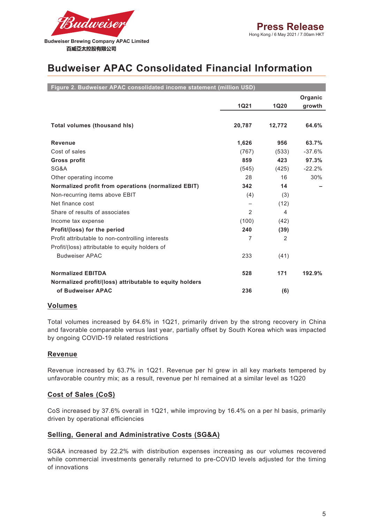

# **Budweiser APAC Consolidated Financial Information**

| Figure 2. Budweiser APAC consolidated income statement (million USD) |                |               |          |
|----------------------------------------------------------------------|----------------|---------------|----------|
|                                                                      |                |               | Organic  |
|                                                                      | <b>1Q21</b>    | <b>1Q20</b>   | growth   |
|                                                                      |                |               |          |
| <b>Total volumes (thousand his)</b>                                  | 20,787         | 12,772        | 64.6%    |
|                                                                      |                |               |          |
| <b>Revenue</b>                                                       | 1,626          | 956           | 63.7%    |
| Cost of sales                                                        | (767)          | (533)         | $-37.6%$ |
| <b>Gross profit</b>                                                  | 859            | 423           | 97.3%    |
| SG&A                                                                 | (545)          | (425)         | $-22.2%$ |
| Other operating income                                               | 28             | 16            | 30%      |
| Normalized profit from operations (normalized EBIT)                  | 342            | 14            |          |
| Non-recurring items above EBIT                                       | (4)            | (3)           |          |
| Net finance cost                                                     |                | (12)          |          |
| Share of results of associates                                       | 2              | 4             |          |
| Income tax expense                                                   | (100)          | (42)          |          |
| Profit/(loss) for the period                                         | 240            | (39)          |          |
| Profit attributable to non-controlling interests                     | $\overline{7}$ | $\mathcal{P}$ |          |
| Profit/(loss) attributable to equity holders of                      |                |               |          |
| <b>Budweiser APAC</b>                                                | 233            | (41)          |          |
|                                                                      |                |               |          |
| <b>Normalized EBITDA</b>                                             | 528            | 171           | 192.9%   |
| Normalized profit/(loss) attributable to equity holders              |                |               |          |
| of Budweiser APAC                                                    | 236            | (6)           |          |

### **Volumes**

Total volumes increased by 64.6% in 1Q21, primarily driven by the strong recovery in China and favorable comparable versus last year, partially offset by South Korea which was impacted by ongoing COVID-19 related restrictions

## **Revenue**

Revenue increased by 63.7% in 1Q21. Revenue per hl grew in all key markets tempered by unfavorable country mix; as a result, revenue per hl remained at a similar level as 1Q20

## **Cost of Sales (CoS)**

CoS increased by 37.6% overall in 1Q21, while improving by 16.4% on a per hl basis, primarily driven by operational efficiencies

## **Selling, General and Administrative Costs (SG&A)**

SG&A increased by 22.2% with distribution expenses increasing as our volumes recovered while commercial investments generally returned to pre-COVID levels adjusted for the timing of innovations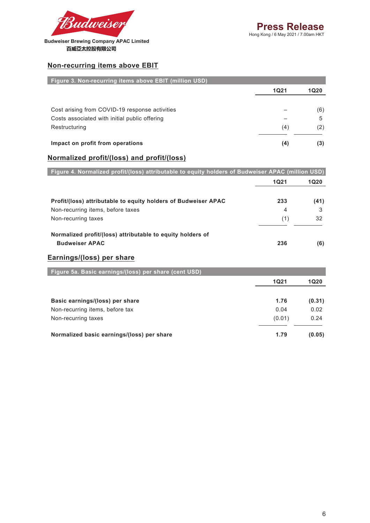

**Budweiser Brewing Company APAC Limited**  百威亞太控股有限公司

## **Non-recurring items above EBIT**

| Figure 3. Non-recurring items above EBIT (million USD) |             |      |
|--------------------------------------------------------|-------------|------|
|                                                        | <b>1Q21</b> | 1Q20 |
|                                                        |             |      |
| Cost arising from COVID-19 response activities         |             | (6)  |
| Costs associated with initial public offering          |             | 5    |
| Restructuring                                          | (4)         | (2)  |
| Impact on profit from operations                       | (4)         | (3)  |

## **Normalized profit/(loss) and profit/(loss)**

| Figure 4. Normalized profit/(loss) attributable to equity holders of Budweiser APAC (million USD) |             |             |
|---------------------------------------------------------------------------------------------------|-------------|-------------|
|                                                                                                   | <b>1Q21</b> | <b>1Q20</b> |
| Profit/(loss) attributable to equity holders of Budweiser APAC                                    | 233         | (41)        |
| Non-recurring items, before taxes                                                                 | 4           | 3           |
| Non-recurring taxes                                                                               | (1)         | 32          |
| Normalized profit/(loss) attributable to equity holders of<br><b>Budweiser APAC</b>               | 236         | (6)         |
| Earnings/(loss) per share<br>Figure 5a. Basic earnings/(loss) per share (cent USD)                |             |             |
|                                                                                                   | <b>1Q21</b> | <b>1Q20</b> |
| Basic earnings/(loss) per share                                                                   | 1.76        | (0.31)      |
| Non-recurring items, before tax                                                                   | 0.04        | 0.02        |
| Non-recurring taxes                                                                               | (0.01)      | 0.24        |
| Normalized basic earnings/(loss) per share                                                        | 1.79        | (0.05)      |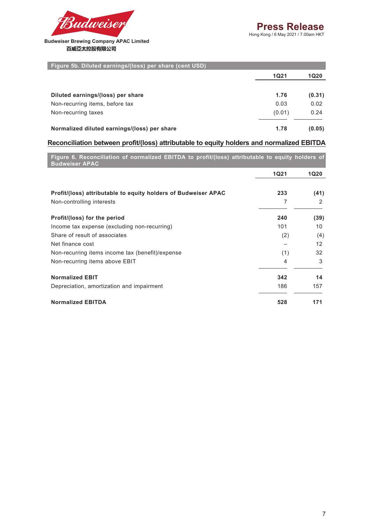

### **Budweiser Brewing Company APAC Limited**  百威亞太控股有限公司

| Figure 5b. Diluted earnings/(loss) per share (cent USD) |             |             |
|---------------------------------------------------------|-------------|-------------|
|                                                         | <b>1Q21</b> | <b>1Q20</b> |
| Diluted earnings/(loss) per share                       | 1.76        | (0.31)      |
| Non-recurring items, before tax                         | 0.03        | 0.02        |
| Non-recurring taxes                                     | (0.01)      | 0.24        |
| Normalized diluted earnings/(loss) per share            | 1.78        | (0.05)      |

### **Reconciliation between profit/(loss) attributable to equity holders and normalized EBITDA**

| Figure 6. Reconciliation of normalized EBITDA to profit/(loss) attributable to equity holders of<br><b>Budweiser APAC</b> |             |                   |
|---------------------------------------------------------------------------------------------------------------------------|-------------|-------------------|
|                                                                                                                           | <b>1Q21</b> | <b>1Q20</b>       |
| Profit/(loss) attributable to equity holders of Budweiser APAC                                                            | 233         | (41)              |
| Non-controlling interests                                                                                                 | 7           | 2                 |
| Profit/(loss) for the period                                                                                              | 240         | (39)              |
| Income tax expense (excluding non-recurring)                                                                              | 101         | 10                |
| Share of result of associates                                                                                             | (2)         | (4)               |
| Net finance cost                                                                                                          |             | $12 \overline{ }$ |
| Non-recurring items income tax (benefit)/expense                                                                          | (1)         | 32                |
| Non-recurring items above EBIT                                                                                            | 4           | 3                 |
| <b>Normalized EBIT</b>                                                                                                    | 342         | 14                |
| Depreciation, amortization and impairment                                                                                 | 186         | 157               |

**Normalized EBITDA 528 171**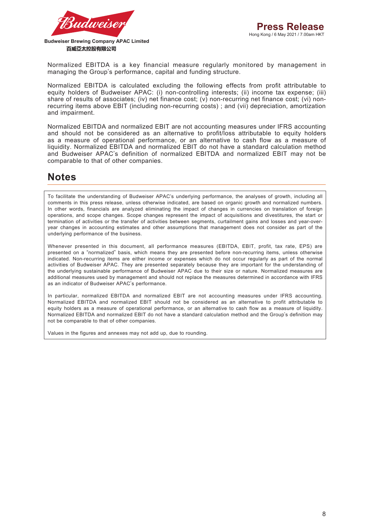

百威亞太控股有限公司

Normalized EBITDA is a key financial measure regularly monitored by management in managing the Group's performance, capital and funding structure.

Normalized EBITDA is calculated excluding the following effects from profit attributable to equity holders of Budweiser APAC: (i) non-controlling interests; (ii) income tax expense; (iii) share of results of associates; (iv) net finance cost; (v) non-recurring net finance cost; (vi) nonrecurring items above EBIT (including non-recurring costs) ; and (vii) depreciation, amortization and impairment.

Normalized EBITDA and normalized EBIT are not accounting measures under IFRS accounting and should not be considered as an alternative to profit/loss attributable to equity holders as a measure of operational performance, or an alternative to cash flow as a measure of liquidity. Normalized EBITDA and normalized EBIT do not have a standard calculation method and Budweiser APAC's definition of normalized EBITDA and normalized EBIT may not be comparable to that of other companies.

# **Notes**

To facilitate the understanding of Budweiser APAC's underlying performance, the analyses of growth, including all comments in this press release, unless otherwise indicated, are based on organic growth and normalized numbers. In other words, financials are analyzed eliminating the impact of changes in currencies on translation of foreign operations, and scope changes. Scope changes represent the impact of acquisitions and divestitures, the start or termination of activities or the transfer of activities between segments, curtailment gains and losses and year-overyear changes in accounting estimates and other assumptions that management does not consider as part of the underlying performance of the business.

Whenever presented in this document, all performance measures (EBITDA, EBIT, profit, tax rate, EPS) are presented on a "normalized" basis, which means they are presented before non-recurring items, unless otherwise indicated. Non-recurring items are either income or expenses which do not occur regularly as part of the normal activities of Budweiser APAC. They are presented separately because they are important for the understanding of the underlying sustainable performance of Budweiser APAC due to their size or nature. Normalized measures are additional measures used by management and should not replace the measures determined in accordance with IFRS as an indicator of Budweiser APAC's performance.

In particular, normalized EBITDA and normalized EBIT are not accounting measures under IFRS accounting. Normalized EBITDA and normalized EBIT should not be considered as an alternative to profit attributable to equity holders as a measure of operational performance, or an alternative to cash flow as a measure of liquidity. Normalized EBITDA and normalized EBIT do not have a standard calculation method and the Group's definition may not be comparable to that of other companies.

Values in the figures and annexes may not add up, due to rounding.